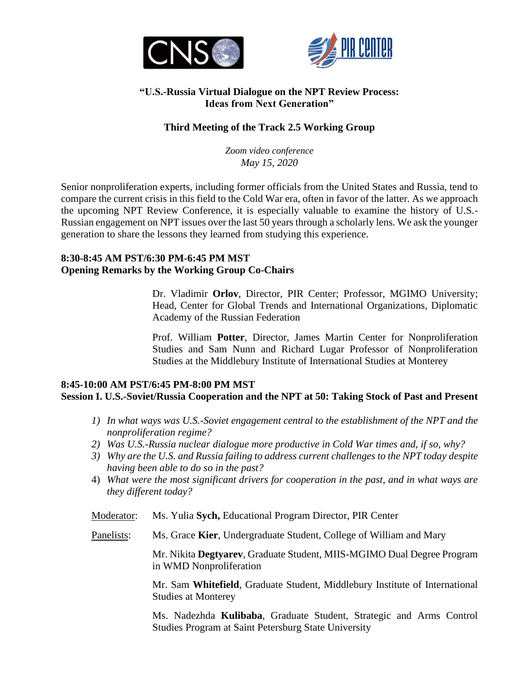



## **"U.S.-Russia Virtual Dialogue on the NPT Review Process: Ideas from Next Generation"**

# **Third Meeting of the Track 2.5 Working Group**

*Zoom video conference May 15, 2020*

Senior nonproliferation experts, including former officials from the United States and Russia, tend to compare the current crisis in this field to the Cold War era, often in favor of the latter. As we approach the upcoming NPT Review Conference, it is especially valuable to examine the history of U.S.- Russian engagement on NPT issues over the last 50 years through a scholarly lens. We ask the younger generation to share the lessons they learned from studying this experience.

## **8:30-8:45 AM PST/6:30 PM-6:45 PM MST Opening Remarks by the Working Group Co-Chairs**

Dr. Vladimir **Orlov**, Director, PIR Center; Professor, MGIMO University; Head, Center for Global Trends and International Organizations, Diplomatic Academy of the Russian Federation

Prof. William **Potter**, Director, James Martin Center for Nonproliferation Studies and Sam Nunn and Richard Lugar Professor of Nonproliferation Studies at the Middlebury Institute of International Studies at Monterey

#### **8:45-10:00 AM PST/6:45 PM-8:00 PM MST Session I. U.S.-Soviet/Russia Cooperation and the NPT at 50: Taking Stock of Past and Present**

- *1) In what ways was U.S.-Soviet engagement central to the establishment of the NPT and the nonproliferation regime?*
- *2) Was U.S.-Russia nuclear dialogue more productive in Cold War times and, if so, why?*
- *3) Why are the U.S. and Russia failing to address current challenges to the NPT today despite having been able to do so in the past?*
- 4) *What were the most significant drivers for cooperation in the past, and in what ways are they different today?*

Moderator: Ms. Yulia **Sych,** Educational Program Director, PIR Center

Panelists: Ms. Grace **Kier**, Undergraduate Student, College of William and Mary

Mr. Nikita **Degtyarev**, Graduate Student, MIIS-MGIMO Dual Degree Program in WMD Nonproliferation

Mr. Sam **Whitefield**, Graduate Student, Middlebury Institute of International Studies at Monterey

Ms. Nadezhda **Kulibaba**, Graduate Student, Strategic and Arms Control Studies Program at Saint Petersburg State University